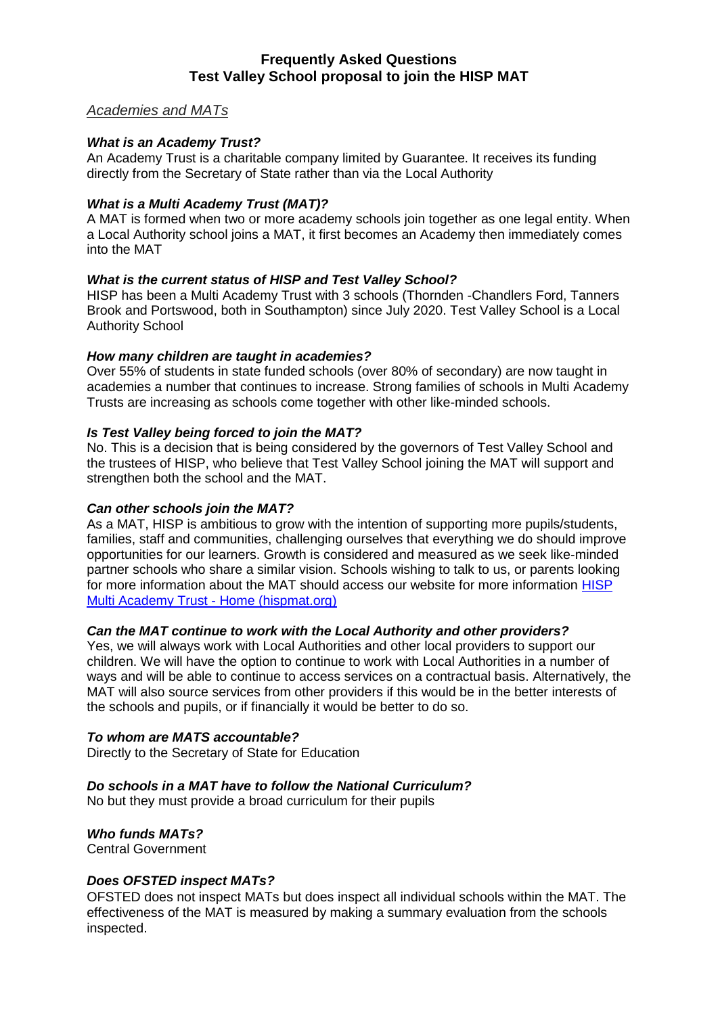# **Frequently Asked Questions Test Valley School proposal to join the HISP MAT**

# *Academies and MATs*

# *What is an Academy Trust?*

An Academy Trust is a charitable company limited by Guarantee. It receives its funding directly from the Secretary of State rather than via the Local Authority

### *What is a Multi Academy Trust (MAT)?*

A MAT is formed when two or more academy schools join together as one legal entity. When a Local Authority school joins a MAT, it first becomes an Academy then immediately comes into the MAT

# *What is the current status of HISP and Test Valley School?*

HISP has been a Multi Academy Trust with 3 schools (Thornden -Chandlers Ford, Tanners Brook and Portswood, both in Southampton) since July 2020. Test Valley School is a Local Authority School

### *How many children are taught in academies?*

Over 55% of students in state funded schools (over 80% of secondary) are now taught in academies a number that continues to increase. Strong families of schools in Multi Academy Trusts are increasing as schools come together with other like-minded schools.

### *Is Test Valley being forced to join the MAT?*

No. This is a decision that is being considered by the governors of Test Valley School and the trustees of HISP, who believe that Test Valley School joining the MAT will support and strengthen both the school and the MAT.

#### *Can other schools join the MAT?*

As a MAT, HISP is ambitious to grow with the intention of supporting more pupils/students, families, staff and communities, challenging ourselves that everything we do should improve opportunities for our learners. Growth is considered and measured as we seek like-minded partner schools who share a similar vision. Schools wishing to talk to us, or parents looking for more information about the MAT should access our website for more information [HISP](https://www.hispmat.org/)  [Multi Academy Trust -](https://www.hispmat.org/) Home (hispmat.org)

# *Can the MAT continue to work with the Local Authority and other providers?*

Yes, we will always work with Local Authorities and other local providers to support our children. We will have the option to continue to work with Local Authorities in a number of ways and will be able to continue to access services on a contractual basis. Alternatively, the MAT will also source services from other providers if this would be in the better interests of the schools and pupils, or if financially it would be better to do so.

#### *To whom are MATS accountable?*

Directly to the Secretary of State for Education

# *Do schools in a MAT have to follow the National Curriculum?*

No but they must provide a broad curriculum for their pupils

# *Who funds MATs?*

Central Government

# *Does OFSTED inspect MATs?*

OFSTED does not inspect MATs but does inspect all individual schools within the MAT. The effectiveness of the MAT is measured by making a summary evaluation from the schools inspected.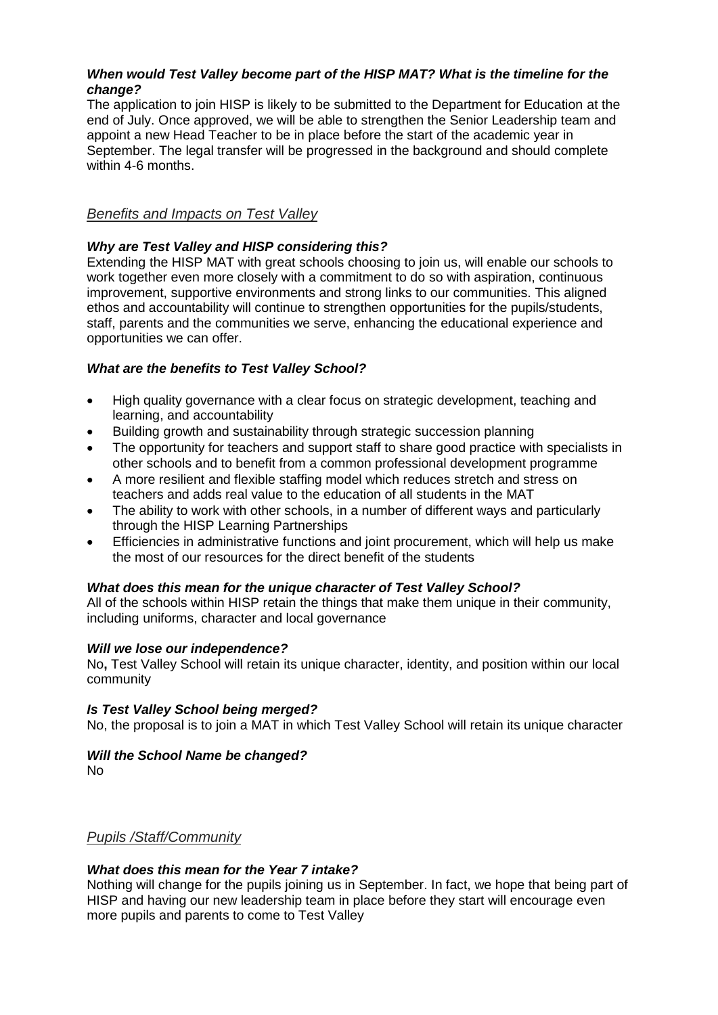# *When would Test Valley become part of the HISP MAT? What is the timeline for the change?*

The application to join HISP is likely to be submitted to the Department for Education at the end of July. Once approved, we will be able to strengthen the Senior Leadership team and appoint a new Head Teacher to be in place before the start of the academic year in September. The legal transfer will be progressed in the background and should complete within 4-6 months.

# *Benefits and Impacts on Test Valley*

# *Why are Test Valley and HISP considering this?*

Extending the HISP MAT with great schools choosing to join us, will enable our schools to work together even more closely with a commitment to do so with aspiration, continuous improvement, supportive environments and strong links to our communities. This aligned ethos and accountability will continue to strengthen opportunities for the pupils/students, staff, parents and the communities we serve, enhancing the educational experience and opportunities we can offer.

# *What are the benefits to Test Valley School?*

- High quality governance with a clear focus on strategic development, teaching and learning, and accountability
- Building growth and sustainability through strategic succession planning
- The opportunity for teachers and support staff to share good practice with specialists in other schools and to benefit from a common professional development programme
- A more resilient and flexible staffing model which reduces stretch and stress on teachers and adds real value to the education of all students in the MAT
- The ability to work with other schools, in a number of different ways and particularly through the HISP Learning Partnerships
- Efficiencies in administrative functions and joint procurement, which will help us make the most of our resources for the direct benefit of the students

# *What does this mean for the unique character of Test Valley School?*

All of the schools within HISP retain the things that make them unique in their community, including uniforms, character and local governance

# *Will we lose our independence?*

No**,** Test Valley School will retain its unique character, identity, and position within our local community

# *Is Test Valley School being merged?*

No, the proposal is to join a MAT in which Test Valley School will retain its unique character

# *Will the School Name be changed?*

No

# *Pupils /Staff/Community*

# *What does this mean for the Year 7 intake?*

Nothing will change for the pupils joining us in September. In fact, we hope that being part of HISP and having our new leadership team in place before they start will encourage even more pupils and parents to come to Test Valley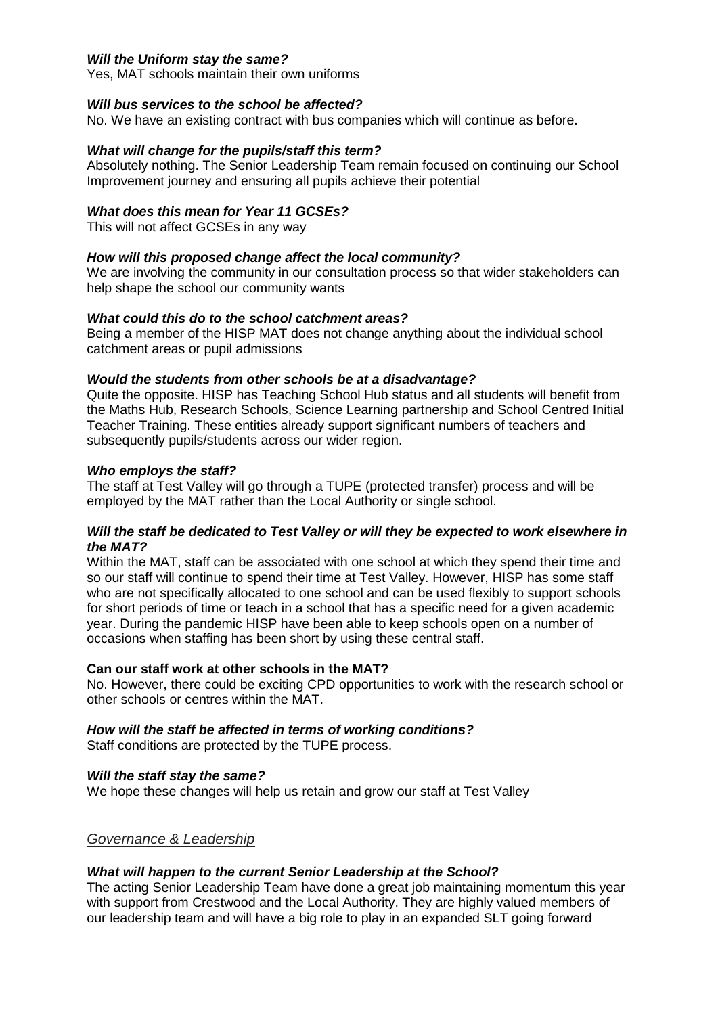### *Will the Uniform stay the same?*

Yes, MAT schools maintain their own uniforms

#### *Will bus services to the school be affected?*

No. We have an existing contract with bus companies which will continue as before.

#### *What will change for the pupils/staff this term?*

Absolutely nothing. The Senior Leadership Team remain focused on continuing our School Improvement journey and ensuring all pupils achieve their potential

#### *What does this mean for Year 11 GCSEs?*

This will not affect GCSEs in any way

#### *How will this proposed change affect the local community?*

We are involving the community in our consultation process so that wider stakeholders can help shape the school our community wants

#### *What could this do to the school catchment areas?*

Being a member of the HISP MAT does not change anything about the individual school catchment areas or pupil admissions

#### *Would the students from other schools be at a disadvantage?*

Quite the opposite. HISP has Teaching School Hub status and all students will benefit from the Maths Hub, Research Schools, Science Learning partnership and School Centred Initial Teacher Training. These entities already support significant numbers of teachers and subsequently pupils/students across our wider region.

#### *Who employs the staff?*

The staff at Test Valley will go through a TUPE (protected transfer) process and will be employed by the MAT rather than the Local Authority or single school.

### *Will the staff be dedicated to Test Valley or will they be expected to work elsewhere in the MAT?*

Within the MAT, staff can be associated with one school at which they spend their time and so our staff will continue to spend their time at Test Valley. However, HISP has some staff who are not specifically allocated to one school and can be used flexibly to support schools for short periods of time or teach in a school that has a specific need for a given academic year. During the pandemic HISP have been able to keep schools open on a number of occasions when staffing has been short by using these central staff.

#### **Can our staff work at other schools in the MAT?**

No. However, there could be exciting CPD opportunities to work with the research school or other schools or centres within the MAT.

# *How will the staff be affected in terms of working conditions?*

Staff conditions are protected by the TUPE process.

#### *Will the staff stay the same?*

We hope these changes will help us retain and grow our staff at Test Valley

# *Governance & Leadership*

#### *What will happen to the current Senior Leadership at the School?*

The acting Senior Leadership Team have done a great job maintaining momentum this year with support from Crestwood and the Local Authority. They are highly valued members of our leadership team and will have a big role to play in an expanded SLT going forward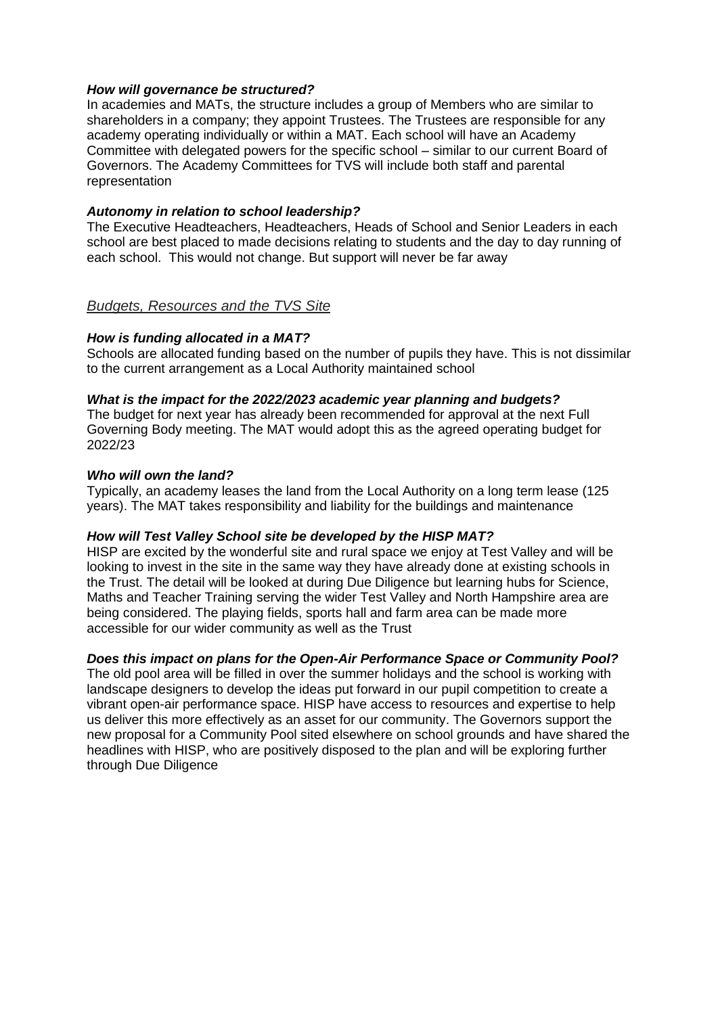### *How will governance be structured?*

In academies and MATs, the structure includes a group of Members who are similar to shareholders in a company; they appoint Trustees. The Trustees are responsible for any academy operating individually or within a MAT. Each school will have an Academy Committee with delegated powers for the specific school – similar to our current Board of Governors. The Academy Committees for TVS will include both staff and parental representation

### *Autonomy in relation to school leadership?*

The Executive Headteachers, Headteachers, Heads of School and Senior Leaders in each school are best placed to made decisions relating to students and the day to day running of each school. This would not change. But support will never be far away

### *Budgets, Resources and the TVS Site*

### *How is funding allocated in a MAT?*

Schools are allocated funding based on the number of pupils they have. This is not dissimilar to the current arrangement as a Local Authority maintained school

### *What is the impact for the 2022/2023 academic year planning and budgets?*

The budget for next year has already been recommended for approval at the next Full Governing Body meeting. The MAT would adopt this as the agreed operating budget for 2022/23

#### *Who will own the land?*

Typically, an academy leases the land from the Local Authority on a long term lease (125 years). The MAT takes responsibility and liability for the buildings and maintenance

# *How will Test Valley School site be developed by the HISP MAT?*

HISP are excited by the wonderful site and rural space we enjoy at Test Valley and will be looking to invest in the site in the same way they have already done at existing schools in the Trust. The detail will be looked at during Due Diligence but learning hubs for Science, Maths and Teacher Training serving the wider Test Valley and North Hampshire area are being considered. The playing fields, sports hall and farm area can be made more accessible for our wider community as well as the Trust

# *Does this impact on plans for the Open-Air Performance Space or Community Pool?*

The old pool area will be filled in over the summer holidays and the school is working with landscape designers to develop the ideas put forward in our pupil competition to create a vibrant open-air performance space. HISP have access to resources and expertise to help us deliver this more effectively as an asset for our community. The Governors support the new proposal for a Community Pool sited elsewhere on school grounds and have shared the headlines with HISP, who are positively disposed to the plan and will be exploring further through Due Diligence